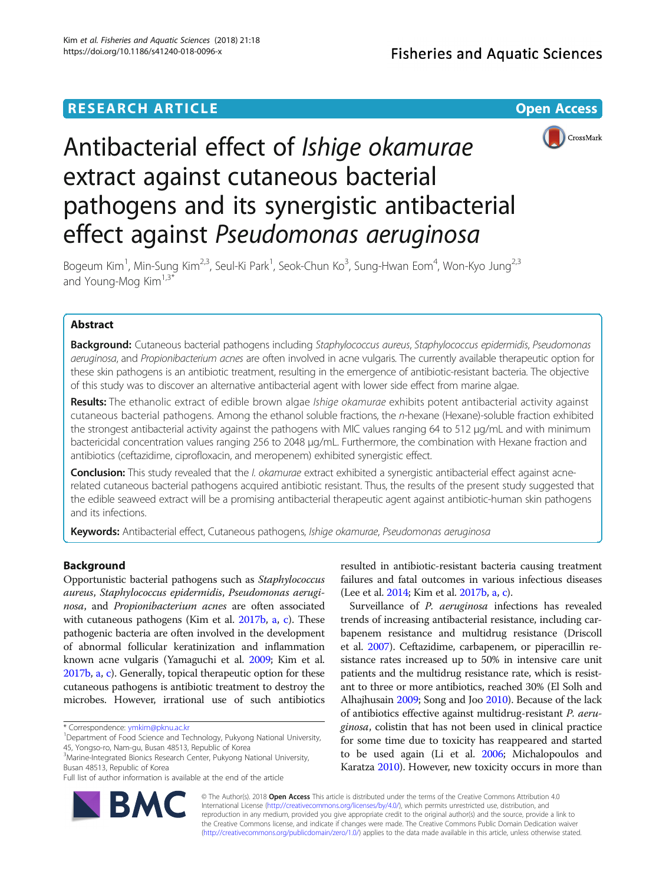## **RESEARCH ARTICLE Example 2014 12:30 The Contract of Contract Contract Contract Contract Contract Contract Contract Contract Contract Contract Contract Contract Contract Contract Contract Contract Contract Contract Contr**



# Antibacterial effect of Ishige okamurae extract against cutaneous bacterial pathogens and its synergistic antibacterial effect against Pseudomonas aeruginosa

Bogeum Kim<sup>1</sup>, Min-Sung Kim<sup>2,3</sup>, Seul-Ki Park<sup>1</sup>, Seok-Chun Ko<sup>3</sup>, Sung-Hwan Eom<sup>4</sup>, Won-Kyo Jung<sup>2,3</sup> and Young-Mog  $Kim<sup>1,3*</sup>$ 

## Abstract

Background: Cutaneous bacterial pathogens including Staphylococcus aureus, Staphylococcus epidermidis, Pseudomonas aeruginosa, and Propionibacterium acnes are often involved in acne vulgaris. The currently available therapeutic option for these skin pathogens is an antibiotic treatment, resulting in the emergence of antibiotic-resistant bacteria. The objective of this study was to discover an alternative antibacterial agent with lower side effect from marine algae.

Results: The ethanolic extract of edible brown algae Ishige okamurae exhibits potent antibacterial activity against cutaneous bacterial pathogens. Among the ethanol soluble fractions, the n-hexane (Hexane)-soluble fraction exhibited the strongest antibacterial activity against the pathogens with MIC values ranging 64 to 512 μg/mL and with minimum bactericidal concentration values ranging 256 to 2048 μg/mL. Furthermore, the combination with Hexane fraction and antibiotics (ceftazidime, ciprofloxacin, and meropenem) exhibited synergistic effect.

Conclusion: This study revealed that the I. okamurae extract exhibited a synergistic antibacterial effect against acnerelated cutaneous bacterial pathogens acquired antibiotic resistant. Thus, the results of the present study suggested that the edible seaweed extract will be a promising antibacterial therapeutic agent against antibiotic-human skin pathogens and its infections.

Keywords: Antibacterial effect, Cutaneous pathogens, Ishige okamurae, Pseudomonas aeruginosa

## Background

Opportunistic bacterial pathogens such as Staphylococcus aureus, Staphylococcus epidermidis, Pseudomonas aeruginosa, and Propionibacterium acnes are often associated with cutaneous pathogens (Kim et al. [2017b,](#page-5-0) [a,](#page-5-0) [c\)](#page-5-0). These pathogenic bacteria are often involved in the development of abnormal follicular keratinization and inflammation known acne vulgaris (Yamaguchi et al. [2009](#page-5-0); Kim et al. [2017b](#page-5-0), [a](#page-5-0), [c](#page-5-0)). Generally, topical therapeutic option for these cutaneous pathogens is antibiotic treatment to destroy the microbes. However, irrational use of such antibiotics

<sup>1</sup>Department of Food Science and Technology, Pukyong National University, 45, Yongso-ro, Nam-gu, Busan 48513, Republic of Korea

<sup>3</sup>Marine-Integrated Bionics Research Center, Pukyong National University, Busan 48513, Republic of Korea



Surveillance of *P. aeruginosa* infections has revealed trends of increasing antibacterial resistance, including carbapenem resistance and multidrug resistance (Driscoll et al. [2007](#page-5-0)). Ceftazidime, carbapenem, or piperacillin resistance rates increased up to 50% in intensive care unit patients and the multidrug resistance rate, which is resistant to three or more antibiotics, reached 30% (El Solh and Alhajhusain [2009](#page-5-0); Song and Joo [2010](#page-5-0)). Because of the lack of antibiotics effective against multidrug-resistant P. aeruginosa, colistin that has not been used in clinical practice for some time due to toxicity has reappeared and started to be used again (Li et al. [2006](#page-5-0); Michalopoulos and Karatza [2010](#page-5-0)). However, new toxicity occurs in more than



© The Author(s). 2018 Open Access This article is distributed under the terms of the Creative Commons Attribution 4.0 International License [\(http://creativecommons.org/licenses/by/4.0/](http://creativecommons.org/licenses/by/4.0/)), which permits unrestricted use, distribution, and reproduction in any medium, provided you give appropriate credit to the original author(s) and the source, provide a link to the Creative Commons license, and indicate if changes were made. The Creative Commons Public Domain Dedication waiver [\(http://creativecommons.org/publicdomain/zero/1.0/](http://creativecommons.org/publicdomain/zero/1.0/)) applies to the data made available in this article, unless otherwise stated.

<sup>\*</sup> Correspondence: [ymkim@pknu.ac.kr](mailto:ymkim@pknu.ac.kr) <sup>1</sup>

Full list of author information is available at the end of the article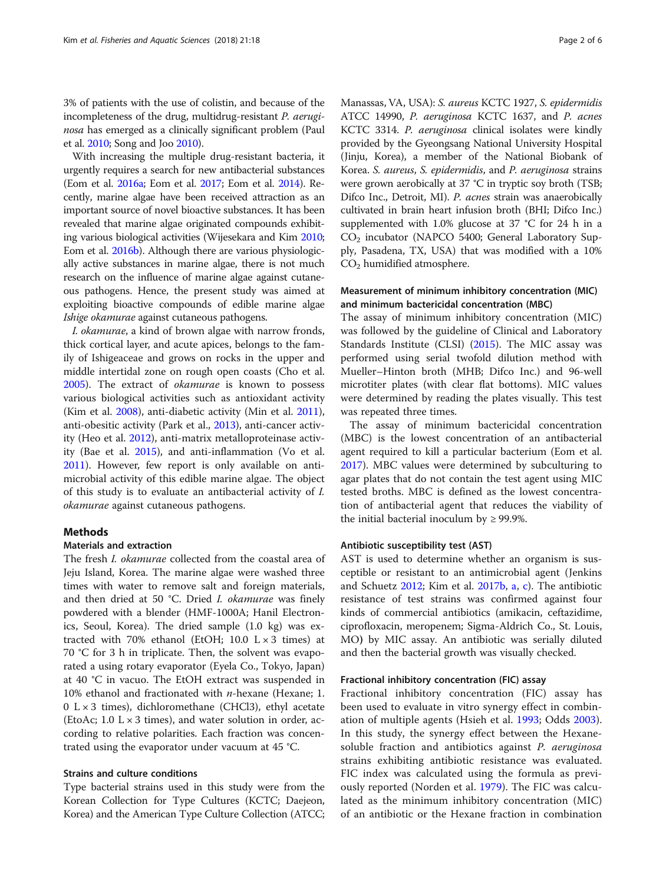<span id="page-1-0"></span>3% of patients with the use of colistin, and because of the incompleteness of the drug, multidrug-resistant P. aeruginosa has emerged as a clinically significant problem (Paul et al. [2010](#page-5-0); Song and Joo [2010](#page-5-0)).

With increasing the multiple drug-resistant bacteria, it urgently requires a search for new antibacterial substances (Eom et al. [2016a](#page-5-0); Eom et al. [2017](#page-5-0); Eom et al. [2014](#page-5-0)). Recently, marine algae have been received attraction as an important source of novel bioactive substances. It has been revealed that marine algae originated compounds exhibiting various biological activities (Wijesekara and Kim [2010](#page-5-0); Eom et al. [2016b](#page-5-0)). Although there are various physiologically active substances in marine algae, there is not much research on the influence of marine algae against cutaneous pathogens. Hence, the present study was aimed at exploiting bioactive compounds of edible marine algae Ishige okamurae against cutaneous pathogens.

I. okamurae, a kind of brown algae with narrow fronds, thick cortical layer, and acute apices, belongs to the family of Ishigeaceae and grows on rocks in the upper and middle intertidal zone on rough open coasts (Cho et al. [2005](#page-5-0)). The extract of okamurae is known to possess various biological activities such as antioxidant activity (Kim et al. [2008](#page-5-0)), anti-diabetic activity (Min et al. [2011](#page-5-0)), anti-obesitic activity (Park et al., [2013\)](#page-5-0), anti-cancer activity (Heo et al. [2012](#page-5-0)), anti-matrix metalloproteinase activity (Bae et al. [2015](#page-5-0)), and anti-inflammation (Vo et al. [2011](#page-5-0)). However, few report is only available on antimicrobial activity of this edible marine algae. The object of this study is to evaluate an antibacterial activity of I. okamurae against cutaneous pathogens.

## Methods

## Materials and extraction

The fresh *I. okamurae* collected from the coastal area of Jeju Island, Korea. The marine algae were washed three times with water to remove salt and foreign materials, and then dried at 50 °C. Dried I. okamurae was finely powdered with a blender (HMF-1000A; Hanil Electronics, Seoul, Korea). The dried sample (1.0 kg) was extracted with 70% ethanol (EtOH;  $10.0 \text{ L} \times 3 \text{ times}$ ) at 70 °C for 3 h in triplicate. Then, the solvent was evaporated a using rotary evaporator (Eyela Co., Tokyo, Japan) at 40 °C in vacuo. The EtOH extract was suspended in 10% ethanol and fractionated with  $n$ -hexane (Hexane; 1. 0  $L \times 3$  times), dichloromethane (CHCl3), ethyl acetate (EtoAc;  $1.0 \text{ L} \times 3 \text{ times}$ ), and water solution in order, according to relative polarities. Each fraction was concentrated using the evaporator under vacuum at 45 °C.

## Strains and culture conditions

Type bacterial strains used in this study were from the Korean Collection for Type Cultures (KCTC; Daejeon, Korea) and the American Type Culture Collection (ATCC; Manassas, VA, USA): S. aureus KCTC 1927, S. epidermidis ATCC 14990, P. aeruginosa KCTC 1637, and P. acnes KCTC 3314. P. aeruginosa clinical isolates were kindly provided by the Gyeongsang National University Hospital (Jinju, Korea), a member of the National Biobank of Korea. S. aureus, S. epidermidis, and P. aeruginosa strains were grown aerobically at 37 °C in tryptic soy broth (TSB; Difco Inc., Detroit, MI). P. acnes strain was anaerobically cultivated in brain heart infusion broth (BHI; Difco Inc.) supplemented with 1.0% glucose at 37 °C for 24 h in a CO2 incubator (NAPCO 5400; General Laboratory Supply, Pasadena, TX, USA) that was modified with a 10%  $CO<sub>2</sub>$  humidified atmosphere.

## Measurement of minimum inhibitory concentration (MIC) and minimum bactericidal concentration (MBC)

The assay of minimum inhibitory concentration (MIC) was followed by the guideline of Clinical and Laboratory Standards Institute (CLSI) ([2015](#page-5-0)). The MIC assay was performed using serial twofold dilution method with Mueller–Hinton broth (MHB; Difco Inc.) and 96-well microtiter plates (with clear flat bottoms). MIC values were determined by reading the plates visually. This test was repeated three times.

The assay of minimum bactericidal concentration (MBC) is the lowest concentration of an antibacterial agent required to kill a particular bacterium (Eom et al. [2017](#page-5-0)). MBC values were determined by subculturing to agar plates that do not contain the test agent using MIC tested broths. MBC is defined as the lowest concentration of antibacterial agent that reduces the viability of the initial bacterial inoculum by  $\geq$  99.9%.

## Antibiotic susceptibility test (AST)

AST is used to determine whether an organism is susceptible or resistant to an antimicrobial agent (Jenkins and Schuetz [2012](#page-5-0); Kim et al. [2017b](#page-5-0), [a](#page-5-0), [c](#page-5-0)). The antibiotic resistance of test strains was confirmed against four kinds of commercial antibiotics (amikacin, ceftazidime, ciprofloxacin, meropenem; Sigma-Aldrich Co., St. Louis, MO) by MIC assay. An antibiotic was serially diluted and then the bacterial growth was visually checked.

#### Fractional inhibitory concentration (FIC) assay

Fractional inhibitory concentration (FIC) assay has been used to evaluate in vitro synergy effect in combination of multiple agents (Hsieh et al. [1993](#page-5-0); Odds [2003](#page-5-0)). In this study, the synergy effect between the Hexanesoluble fraction and antibiotics against *P. aeruginosa* strains exhibiting antibiotic resistance was evaluated. FIC index was calculated using the formula as previously reported (Norden et al. [1979\)](#page-5-0). The FIC was calculated as the minimum inhibitory concentration (MIC) of an antibiotic or the Hexane fraction in combination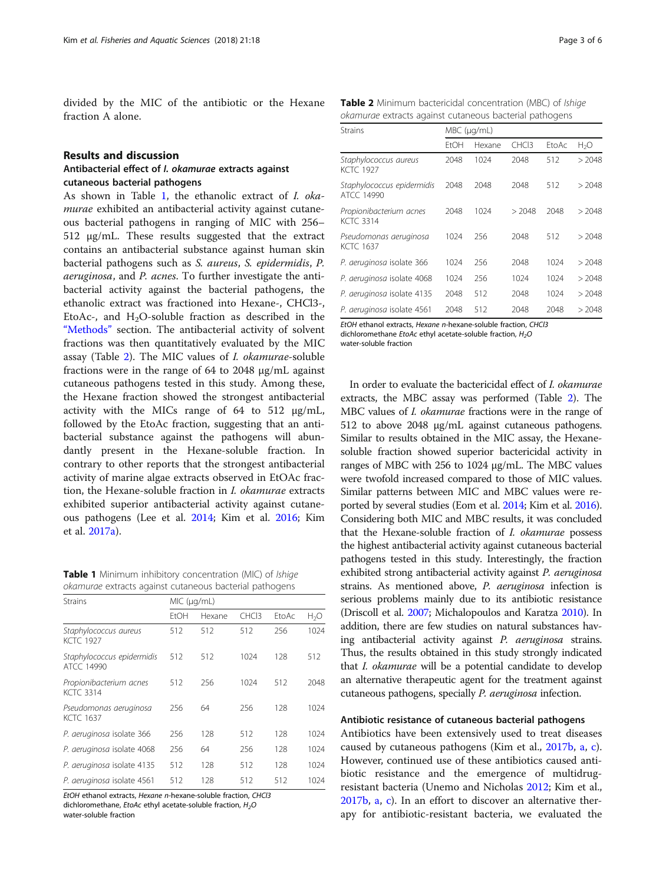<span id="page-2-0"></span>divided by the MIC of the antibiotic or the Hexane fraction A alone.

## Results and discussion

## Antibacterial effect of I. okamurae extracts against cutaneous bacterial pathogens

As shown in Table 1, the ethanolic extract of I. okamurae exhibited an antibacterial activity against cutaneous bacterial pathogens in ranging of MIC with 256– 512 μg/mL. These results suggested that the extract contains an antibacterial substance against human skin bacterial pathogens such as S. aureus, S. epidermidis, P. aeruginosa, and P. acnes. To further investigate the antibacterial activity against the bacterial pathogens, the ethanolic extract was fractioned into Hexane-, CHCl3-, EtoAc-, and  $H<sub>2</sub>O$ -soluble fraction as described in the "[Methods](#page-1-0)" section. The antibacterial activity of solvent fractions was then quantitatively evaluated by the MIC assay (Table 2). The MIC values of I. okamurae-soluble fractions were in the range of 64 to 2048 μg/mL against cutaneous pathogens tested in this study. Among these, the Hexane fraction showed the strongest antibacterial activity with the MICs range of 64 to 512 μg/mL, followed by the EtoAc fraction, suggesting that an antibacterial substance against the pathogens will abundantly present in the Hexane-soluble fraction. In contrary to other reports that the strongest antibacterial activity of marine algae extracts observed in EtOAc fraction, the Hexane-soluble fraction in I. okamurae extracts exhibited superior antibacterial activity against cutaneous pathogens (Lee et al. [2014;](#page-5-0) Kim et al. [2016](#page-5-0); Kim et al. [2017a](#page-5-0)).

Table 1 Minimum inhibitory concentration (MIC) of Ishige okamurae extracts against cutaneous bacterial pathogens

| Strains                                     | MIC (µq/mL) |        |                   |       |                  |  |
|---------------------------------------------|-------------|--------|-------------------|-------|------------------|--|
|                                             | FtOH        | Hexane | CHC <sub>13</sub> | EtoAc | H <sub>2</sub> O |  |
| Staphylococcus aureus<br><b>KCTC 1927</b>   | 512         | 512    | 512               | 256   | 1024             |  |
| Staphylococcus epidermidis<br>ATCC 14990    | 512         | 512    | 1024              | 128   | 512              |  |
| Propionibacterium acnes<br><b>KCTC 3314</b> | 512         | 256    | 1024              | 512   | 2048             |  |
| Pseudomonas aeruginosa<br><b>KCTC 1637</b>  | 256         | 64     | 256               | 128   | 1024             |  |
| P. aeruginosa isolate 366                   | 256         | 128    | 512               | 128   | 1024             |  |
| P. aeruginosa isolate 4068                  | 256         | 64     | 256               | 128   | 1024             |  |
| P. aeruginosa isolate 4135                  | 512         | 128    | 512               | 128   | 1024             |  |
| P. aeruginosa isolate 4561                  | 512         | 128    | 512               | 512   | 1024             |  |

EtOH ethanol extracts, Hexane n-hexane-soluble fraction, CHCl3 dichloromethane, EtoAc ethyl acetate-soluble fraction, H<sub>2</sub>O water-soluble fraction

Table 2 Minimum bactericidal concentration (MBC) of Ishige okamurae extracts against cutaneous bacterial pathogens

| <b>Strains</b>                              | $MBC$ ( $\mu$ g/mL) |        |                   |       |                  |  |
|---------------------------------------------|---------------------|--------|-------------------|-------|------------------|--|
|                                             | FtOH                | Hexane | CHC <sub>13</sub> | EtoAc | H <sub>2</sub> O |  |
| Staphylococcus aureus<br><b>KCTC 1927</b>   | 2048                | 1024   | 2048              | 512   | > 2048           |  |
| Staphylococcus epidermidis<br>ATCC 14990    | 2048                | 2048   | 2048              | 512   | > 2048           |  |
| Propionibacterium acnes<br><b>KCTC 3314</b> | 2048                | 1024   | > 2048            | 2048  | > 2048           |  |
| Pseudomonas aeruginosa<br>KCTC 1637         | 1024                | 256    | 2048              | 512   | >2048            |  |
| P. aeruginosa isolate 366                   | 1024                | 256    | 2048              | 1024  | >2048            |  |
| P. aeruginosa isolate 4068                  | 1024                | 256    | 1024              | 1024  | >2048            |  |
| P. aeruginosa isolate 4135                  | 2048                | 512    | 2048              | 1024  | >2048            |  |
| P. aeruginosa isolate 4561                  | 2048                | 512    | 2048              | 2048  | > 2048           |  |

EtOH ethanol extracts, Hexane n-hexane-soluble fraction, CHCl3

dichloromethane EtoAc ethyl acetate-soluble fraction,  $H_2O$ water-soluble fraction

In order to evaluate the bactericidal effect of I. okamurae extracts, the MBC assay was performed (Table 2). The MBC values of I. okamurae fractions were in the range of 512 to above 2048 μg/mL against cutaneous pathogens. Similar to results obtained in the MIC assay, the Hexanesoluble fraction showed superior bactericidal activity in ranges of MBC with 256 to 1024 μg/mL. The MBC values were twofold increased compared to those of MIC values. Similar patterns between MIC and MBC values were reported by several studies (Eom et al. [2014;](#page-5-0) Kim et al. [2016](#page-5-0)). Considering both MIC and MBC results, it was concluded that the Hexane-soluble fraction of I. okamurae possess the highest antibacterial activity against cutaneous bacterial pathogens tested in this study. Interestingly, the fraction exhibited strong antibacterial activity against P. aeruginosa strains. As mentioned above, P. aeruginosa infection is serious problems mainly due to its antibiotic resistance (Driscoll et al. [2007;](#page-5-0) Michalopoulos and Karatza [2010\)](#page-5-0). In addition, there are few studies on natural substances having antibacterial activity against P. aeruginosa strains. Thus, the results obtained in this study strongly indicated that I. okamurae will be a potential candidate to develop an alternative therapeutic agent for the treatment against cutaneous pathogens, specially P. aeruginosa infection.

## Antibiotic resistance of cutaneous bacterial pathogens

Antibiotics have been extensively used to treat diseases caused by cutaneous pathogens (Kim et al., [2017b](#page-5-0), [a](#page-5-0), [c](#page-5-0)). However, continued use of these antibiotics caused antibiotic resistance and the emergence of multidrugresistant bacteria (Unemo and Nicholas [2012;](#page-5-0) Kim et al., [2017b](#page-5-0), [a,](#page-5-0) [c\)](#page-5-0). In an effort to discover an alternative therapy for antibiotic-resistant bacteria, we evaluated the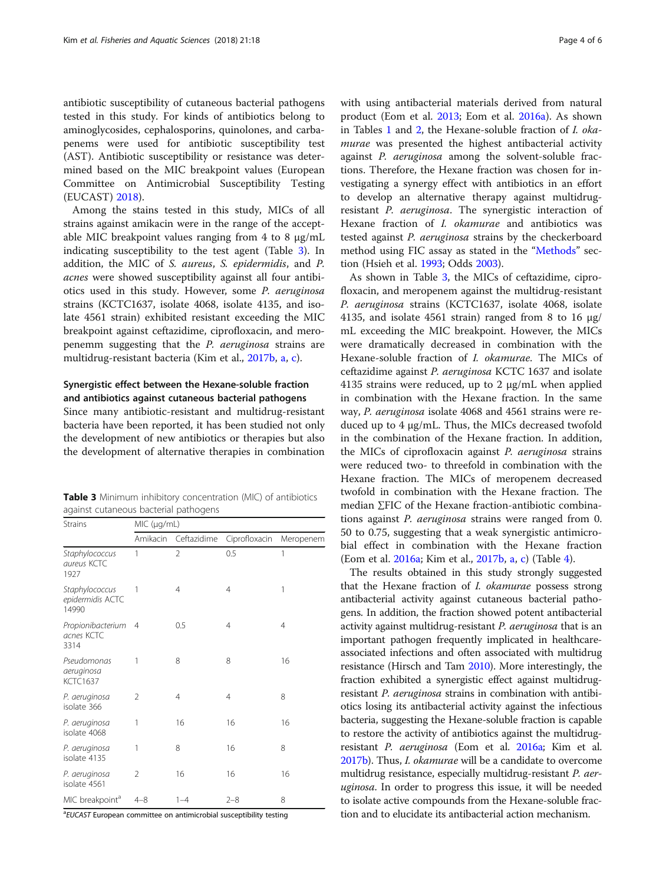antibiotic susceptibility of cutaneous bacterial pathogens tested in this study. For kinds of antibiotics belong to aminoglycosides, cephalosporins, quinolones, and carbapenems were used for antibiotic susceptibility test (AST). Antibiotic susceptibility or resistance was determined based on the MIC breakpoint values (European Committee on Antimicrobial Susceptibility Testing (EUCAST) [2018\)](#page-5-0).

Among the stains tested in this study, MICs of all strains against amikacin were in the range of the acceptable MIC breakpoint values ranging from 4 to 8 μg/mL indicating susceptibility to the test agent (Table 3). In addition, the MIC of S. aureus, S. epidermidis, and P. acnes were showed susceptibility against all four antibiotics used in this study. However, some P. aeruginosa strains (KCTC1637, isolate 4068, isolate 4135, and isolate 4561 strain) exhibited resistant exceeding the MIC breakpoint against ceftazidime, ciprofloxacin, and meropenemm suggesting that the P. aeruginosa strains are multidrug-resistant bacteria (Kim et al., [2017b](#page-5-0), [a,](#page-5-0) [c](#page-5-0)).

## Synergistic effect between the Hexane-soluble fraction and antibiotics against cutaneous bacterial pathogens

Since many antibiotic-resistant and multidrug-resistant bacteria have been reported, it has been studied not only the development of new antibiotics or therapies but also the development of alternative therapies in combination

|  | <b>Table 3</b> Minimum inhibitory concentration (MIC) of antibiotics |  |  |
|--|----------------------------------------------------------------------|--|--|
|  | against cutaneous bacterial pathogens                                |  |  |

| <b>Strains</b>                               | MIC (µg/mL) |                |                |           |  |  |
|----------------------------------------------|-------------|----------------|----------------|-----------|--|--|
|                                              | Amikacin    | Ceftazidime    | Ciprofloxacin  | Meropenem |  |  |
| Staphylococcus<br>aureus KCTC<br>1927        | 1           | $\overline{2}$ | 0.5            | 1         |  |  |
| Staphylococcus<br>epidermidis ACTC<br>14990  | 1           | 4              | $\overline{4}$ | 1         |  |  |
| Propionibacterium<br>acnes KCTC<br>3314      | 4           | 0.5            | $\overline{4}$ | 4         |  |  |
| Pseudomonas<br>aeruginosa<br><b>KCTC1637</b> | 1           | 8              | 8              | 16        |  |  |
| P. aeruginosa<br>isolate 366                 | 2           | 4              | 4              | 8         |  |  |
| P. aeruginosa<br>isolate 4068                | 1           | 16             | 16             | 16        |  |  |
| P. aeruginosa<br>isolate 4135                | 1           | 8              | 16             | 8         |  |  |
| P. aeruginosa<br>isolate 4561                | 2           | 16             | 16             | 16        |  |  |
| MIC breakpoint <sup>a</sup>                  | $4 - 8$     | $1 - 4$        | $2 - 8$        | 8         |  |  |

<sup>a</sup>EUCAST European committee on antimicrobial susceptibility testing

with using antibacterial materials derived from natural product (Eom et al. [2013;](#page-5-0) Eom et al. [2016a](#page-5-0)). As shown in Tables [1](#page-2-0) and [2](#page-2-0), the Hexane-soluble fraction of I. okamurae was presented the highest antibacterial activity against P. aeruginosa among the solvent-soluble fractions. Therefore, the Hexane fraction was chosen for investigating a synergy effect with antibiotics in an effort to develop an alternative therapy against multidrugresistant P. aeruginosa. The synergistic interaction of Hexane fraction of *I. okamurae* and antibiotics was tested against P. aeruginosa strains by the checkerboard method using FIC assay as stated in the "[Methods](#page-1-0)" section (Hsieh et al. [1993;](#page-5-0) Odds [2003](#page-5-0)).

As shown in Table 3, the MICs of ceftazidime, ciprofloxacin, and meropenem against the multidrug-resistant P. aeruginosa strains (KCTC1637, isolate 4068, isolate 4135, and isolate 4561 strain) ranged from 8 to 16  $\mu$ g/ mL exceeding the MIC breakpoint. However, the MICs were dramatically decreased in combination with the Hexane-soluble fraction of I. okamurae. The MICs of ceftazidime against P. aeruginosa KCTC 1637 and isolate 4135 strains were reduced, up to 2 μg/mL when applied in combination with the Hexane fraction. In the same way, P. aeruginosa isolate 4068 and 4561 strains were reduced up to 4 μg/mL. Thus, the MICs decreased twofold in the combination of the Hexane fraction. In addition, the MICs of ciprofloxacin against P. aeruginosa strains were reduced two- to threefold in combination with the Hexane fraction. The MICs of meropenem decreased twofold in combination with the Hexane fraction. The median ∑FIC of the Hexane fraction-antibiotic combinations against P. aeruginosa strains were ranged from 0. 50 to 0.75, suggesting that a weak synergistic antimicrobial effect in combination with the Hexane fraction (Eom et al. [2016a](#page-5-0); Kim et al., [2017b,](#page-5-0) [a](#page-5-0), [c](#page-5-0)) (Table [4](#page-4-0)).

The results obtained in this study strongly suggested that the Hexane fraction of I. okamurae possess strong antibacterial activity against cutaneous bacterial pathogens. In addition, the fraction showed potent antibacterial activity against multidrug-resistant P. aeruginosa that is an important pathogen frequently implicated in healthcareassociated infections and often associated with multidrug resistance (Hirsch and Tam [2010](#page-5-0)). More interestingly, the fraction exhibited a synergistic effect against multidrugresistant P. aeruginosa strains in combination with antibiotics losing its antibacterial activity against the infectious bacteria, suggesting the Hexane-soluble fraction is capable to restore the activity of antibiotics against the multidrugresistant P. aeruginosa (Eom et al. [2016a;](#page-5-0) Kim et al. [2017b\)](#page-5-0). Thus, I. okamurae will be a candidate to overcome multidrug resistance, especially multidrug-resistant P. aeruginosa. In order to progress this issue, it will be needed to isolate active compounds from the Hexane-soluble fraction and to elucidate its antibacterial action mechanism.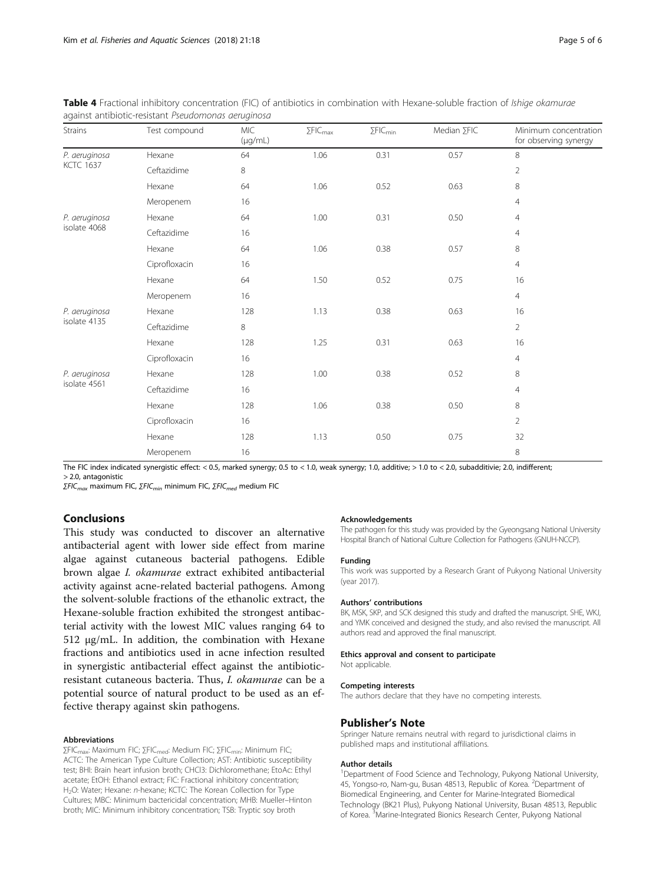| <b>Strains</b>                    | Test compound | <b>MIC</b><br>$(\mu g/mL)$ | $\Sigma$ FIC $_{\rm max}$ | $\Sigma$ FIC <sub>min</sub> | Median ∑FIC | Minimum concentration<br>for observing synergy |
|-----------------------------------|---------------|----------------------------|---------------------------|-----------------------------|-------------|------------------------------------------------|
| P. aeruginosa<br><b>KCTC 1637</b> | Hexane        | 64                         | 1.06                      | 0.31                        | 0.57        | 8                                              |
|                                   | Ceftazidime   | 8                          |                           |                             |             | $\overline{2}$                                 |
|                                   | Hexane        | 64                         | 1.06                      | 0.52                        | 0.63        | 8                                              |
|                                   | Meropenem     | 16                         |                           |                             |             | 4                                              |
| P. aeruginosa<br>isolate 4068     | Hexane        | 64                         | 1.00                      | 0.31                        | 0.50        | 4                                              |
|                                   | Ceftazidime   | 16                         |                           |                             |             | 4                                              |
|                                   | Hexane        | 64                         | 1.06                      | 0.38                        | 0.57        | 8                                              |
|                                   | Ciprofloxacin | 16                         |                           |                             |             | $\overline{4}$                                 |
|                                   | Hexane        | 64                         | 1.50                      | 0.52                        | 0.75        | 16                                             |
|                                   | Meropenem     | 16                         |                           |                             |             | $\overline{4}$                                 |
| P. aeruginosa<br>isolate 4135     | Hexane        | 128                        | 1.13                      | 0.38                        | 0.63        | 16                                             |
|                                   | Ceftazidime   | 8                          |                           |                             |             | $\overline{2}$                                 |
|                                   | Hexane        | 128                        | 1.25                      | 0.31                        | 0.63        | 16                                             |
|                                   | Ciprofloxacin | 16                         |                           |                             |             | 4                                              |
| P. aeruginosa<br>isolate 4561     | Hexane        | 128                        | 1.00                      | 0.38                        | 0.52        | 8                                              |
|                                   | Ceftazidime   | 16                         |                           |                             |             | 4                                              |
|                                   | Hexane        | 128                        | 1.06                      | 0.38                        | 0.50        | 8                                              |
|                                   | Ciprofloxacin | 16                         |                           |                             |             | $\overline{2}$                                 |
|                                   | Hexane        | 128                        | 1.13                      | 0.50                        | 0.75        | 32                                             |
|                                   | Meropenem     | 16                         |                           |                             |             | 8                                              |

<span id="page-4-0"></span>Table 4 Fractional inhibitory concentration (FIC) of antibiotics in combination with Hexane-soluble fraction of Ishige okamurae against antibiotic-resistant Pseudomonas aeruginosa

The FIC index indicated synergistic effect: < 0.5, marked synergy; 0.5 to < 1.0, weak synergy; 1.0, additive; > 1.0 to < 2.0, subadditivie; 2.0, indifferent; > 2.0, antagonistic

 $ΣFIC<sub>max</sub>$  maximum FIC,  $ΣFIC<sub>min</sub>$  minimum FIC,  $ΣFIC<sub>med</sub>$  medium FIC

## Conclusions

This study was conducted to discover an alternative antibacterial agent with lower side effect from marine algae against cutaneous bacterial pathogens. Edible brown algae I. okamurae extract exhibited antibacterial activity against acne-related bacterial pathogens. Among the solvent-soluble fractions of the ethanolic extract, the Hexane-soluble fraction exhibited the strongest antibacterial activity with the lowest MIC values ranging 64 to 512 μg/mL. In addition, the combination with Hexane fractions and antibiotics used in acne infection resulted in synergistic antibacterial effect against the antibioticresistant cutaneous bacteria. Thus, I. okamurae can be a potential source of natural product to be used as an effective therapy against skin pathogens.

#### Abbreviations

∑FIC<sub>max</sub>: Maximum FIC; ∑FIC<sub>med</sub>: Medium FIC; ∑FIC<sub>min</sub>: Minimum FIC; ACTC: The American Type Culture Collection; AST: Antibiotic susceptibility test; BHI: Brain heart infusion broth; CHCl3: Dichloromethane; EtoAc: Ethyl acetate; EtOH: Ethanol extract; FIC: Fractional inhibitory concentration; H2O: Water; Hexane: n-hexane; KCTC: The Korean Collection for Type Cultures; MBC: Minimum bactericidal concentration; MHB: Mueller–Hinton broth; MIC: Minimum inhibitory concentration; TSB: Tryptic soy broth

#### Acknowledgements

The pathogen for this study was provided by the Gyeongsang National University Hospital Branch of National Culture Collection for Pathogens (GNUH-NCCP).

## Funding

This work was supported by a Research Grant of Pukyong National University (year 2017).

#### Authors' contributions

BK, MSK, SKP, and SCK designed this study and drafted the manuscript. SHE, WKJ, and YMK conceived and designed the study, and also revised the manuscript. All authors read and approved the final manuscript.

#### Ethics approval and consent to participate

Not applicable.

#### Competing interests

The authors declare that they have no competing interests.

### Publisher's Note

Springer Nature remains neutral with regard to jurisdictional claims in published maps and institutional affiliations.

#### Author details

<sup>1</sup>Department of Food Science and Technology, Pukyong National University 45, Yongso-ro, Nam-gu, Busan 48513, Republic of Korea. <sup>2</sup>Department of Biomedical Engineering, and Center for Marine-Integrated Biomedical Technology (BK21 Plus), Pukyong National University, Busan 48513, Republic of Korea. <sup>3</sup>Marine-Integrated Bionics Research Center, Pukyong National